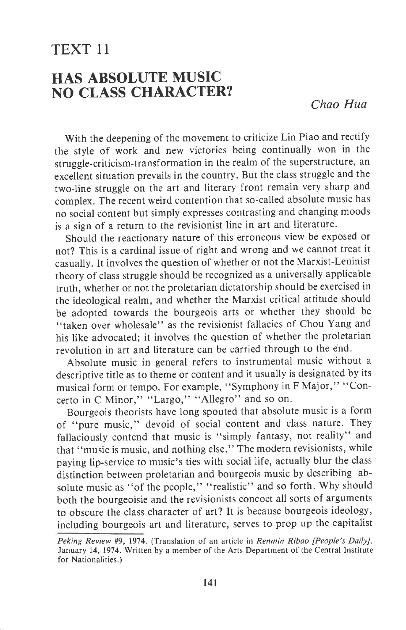## TEXT 1I

## HAS ABSOLUTE MUSIC NO CLASS CHARACTER?

Chao Hua

With the deepening of the movement to criticize Lin Piao and rectify the style of work and new victories being continually won in the struggle-criticism-transformation in the realm of the superstructure, an excellent situation prevails in the country. But the class struggle and the two-line struggle on the art and literary front remain very sharp and complex. The recent weird contention that so-called absolute music has no social content but simply expresses contrasting and changing moods is a sign of a return to the revisionist line in art and literature.

Should the reactionary nature of this erroneous view be exposed or not? This is a cardinal issue of right and wrong and we cannot treat it casually. It involves the question of whether or not the Marxist-Leninist theory of class struggle should be recognized as a universally applicable truth, whether or not the proletarian dictatorship should be exercised in the ideological realm, and whether the Marxist critical attitude should be adopted towards the bourgeois arts or whether they should be "taken over wholesale" as the revisionist fallacies of Chou Yang and his like advocated; it involves the question of whether the proletarian revolution in art and literature can be carried through to the end.

Absolute music in general refers to instrumental music without <sup>a</sup> descriptive title as to theme or content and it usually is designated by its musical form or tempo. For example, "Symphony in F Major," "Concerto in C Minor," "Largo," "Allegro" and so on.

Bourgeois theorists have long spouted that absolute music is a form of "pure music," devoid of social content and class nature. They fallaciously contend that music is "simply fantasy, not reality" and that "music is music, and nothing else." The modern revisionists, while paying lip-service to music's ties with social iife, actually blur the class distinction between proletarian and bourgeois music by describing absolute music as "of the people," "realistic" and so forth. Why should both the bourgeoisie and the revisionists concoct all sorts of arguments to obscure the class character of art? It is because bourgeois ideology, including bourgeois art and literature, serves to prop up the capitalist

Peking Review #9, 1974. (Translation of an article in Renmin Ribao [People's Daily], January 14, 1974. Written by a member of the Arts Department of the Central Institute for Nationalities.)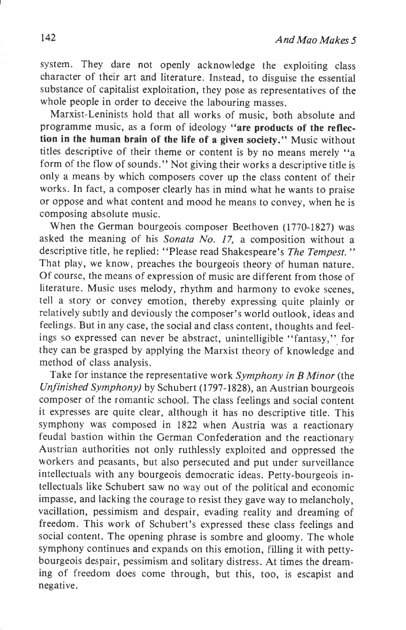system. They dare not openly acknowledge the exploiting class character of their art and literature. Instead, to disguise the essential substance of capitalist exploitation, they pose as representatives of the whole people in order to deceive the labouring masses.

Marxist-Leninists hold that all works of music, both absolute and programme music, as a form of ideology "are products of the reflection in the human brain of the Iife of a given society." Music without titles descriptive of their theme or content is by no means merely "a form of the flow of sounds." Not giving their works a descriptive title is only a means by which composers cover up the class content of their works. In fact, a composer clearly has in mind what he wants to praise or oppose and what content and mood he means to convey, when he is composing absolute music.

When the German bourgeois composer Beethoven (1770-1827) was asked the meaning of his Sonata No. 17, a composition without <sup>a</sup> descriptive title, he replied: "Please read Shakespeare's The Tempest." That play, we know, preaches the bourgeois theory of human nature. Of course, the means of expression of music are different from those of literature. Music uses melody, rhythm and harmony to evoke scenes, tell a story or convey emotion, thereby expressing quite plainly or relatively subtly and deviously the composer's world outlook, ideas and feelings. But in any case, the social and class content, thoughts and feelings so expressed can never be abstract, unintelligible "fantasy," for they can be grasped by applying the Marxist theory of knowledge and method of class analysis.

Take for instance the representative work Symphony in B Minor (the Unfinished Symphony) by Schubert (1797-1828), an Austrian bourgeois composer of the romantic school. The class feelings and social content it expresses are quite clear, although it has no descriptive title. This symphony was composed in 1822 when Austria was a reactionary feudal bastion within the German Confederation and the reactionary Austrian authorities not only ruthlessly exploited and oppressed the workers and peasants, but also persecuted and put under surveillance intellectuals with any bourgeois democratic ideas. Petty-bourgeois intellectuals like Schubert saw no way out of the political and economic impasse, and lacking the courage to resist they gave way to melancholy, vacillation, pessimism and despair, evading reality and dreaming of freedom. This work of Schubert's expressed these class feelings and social content. The opening phrase is sombre and gloomy. The whole symphony continues and expands on this emotion, filling it with pettybourgeois despair, pessimism and solitary distress. At times the dreaming of freedom does come through, but this, too, is escapist and negative.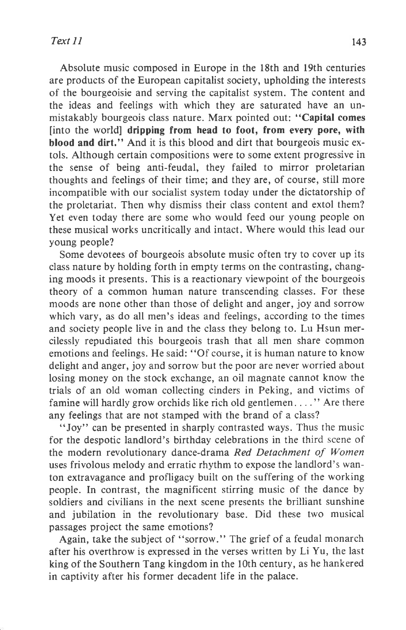Absolute music composed in Europe in the l8th and l9th centuries are products of the European capitalist society, upholding the interests of the bourgeoisie and serving the capitalist system. The content and the ideas and feelings with which they are saturated have an unmistakably bourgeois class nature. Marx pointed out: "Capital comes [into the world] dripping from head to foot, from every pore, with blood and dirt." And it is this blood and dirt that bourgeois music extols. Although certain compositions were to some extent progressive in the sense of being anti-feudal, they failed to mirror proletarian thoughts and feelings of their time; and they are, of course, still more incompatible with our socialist system today under the dictatorship of the proletariat. Then why dismiss their class content and extol them? Yet even today there are some who would feed our young people on these musical works uncritically and intact. Where would this lead our young people?

Some devotees of bourgeois absolute music often try to cover up its class nature by holding forth in empty terms on the contrasting, changing moods it presents. This is a reactionary viewpoint of the bourgeois theory of a common human nature transcending classes. For these moods are none other than those of delight and anger, joy and sorrow which vary, as do all men's ideas and feelings, according to the times and society people live in and the class they belong to. Lu Hsun mercilessly repudiated this bourgeois trash that all men share common emotions and feelings. He said: "Of course, it is human nature to know delight and anger, joy and sorrow but the poor are never worried about Iosing money on the stock exchange, an oil magnate cannot know the trials of an old woman collecting cinders in Peking, and victims of famine will hardly grow orchids like rich old gentlemen. . . . " Are there any feelings that are not stamped with the brand of a class?

"Joy" can be presented in sharply contrasted ways. Thus the music for the despotic landlord's birthday celebrations in the third scene of the modern revolutionary dance-drama Red Detachment of Women uses frivolous melody and erratic rhythm to expose the landlord's wanton extravagance and profligacy built on the suffering of the working people. In contrast, the magnificent stirring music of the dance by soldiers and civilians in the next scene presents the brilliant sunshine and jubilation in the revolutionary base. Did these two musical passages project the same emotions?

Again, take the subject of "sorrow." The grief of a feudal monarch after his overthrow is expressed in the verses written by Li Yu, the last king of the Southern Tang kingdom in the lOth century, as he hankered in captivity after his former decadent life in the palace.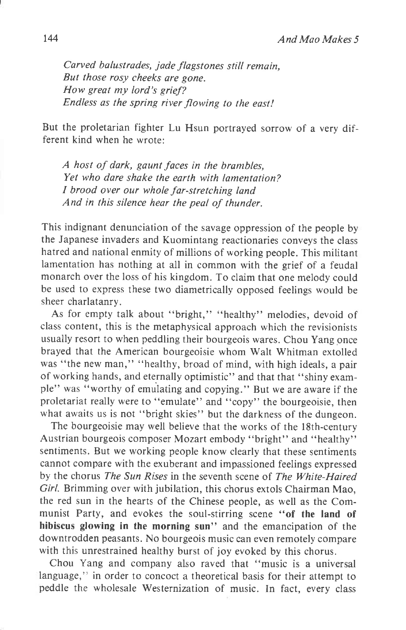Carved balustrades, jade flagstones still remain, But those rosy cheeks are gone. How great my lord's grief? Endless as the spring river flowing to the east!

But the proletarian fighter Lu Hsun portrayed sorrow of a very different kind when he wrote:

A host of dark, gaunt faces in the brambles, Yet who dare shake the earth with lamentation? I brood over our whole for-stretching land And in this silence hear the peal of thunder.

This indignant denunciation of the savage oppression of the people by the Japanese invaders and Kuomintang reactionaries conveys the class hatred and national enmity of millions of working people. This militant lamentation has nothing at all in common with the grief of a feudal monarch over the loss of his kingdom. To claim that one melody could be used to express these two diametrically opposed feelings would be sheer charlatanry.

As for empty talk about "bright," "healthy" melodies, devoid of class content, this is the metaphysical approach which the revisionists usually resort to when peddling their bourgeois wares. Chou Yang once brayed that the American bourgeoisie whom Walt Whitman extolled was "the new man," "healthy, broad of mind, with high ideals, a pair of working hands, and eternally optimistic" and that that "shiny example" was "worthy of emulating and copying." But we are aware if the proletariat really were to "emulate" and "copy" the bourgeoisie, then what awaits us is not "bright skies" but the darkness of the dungeon.

The bourgeoisie may well believe that the works of the l8th-century Austrian bourgeois composer Mozart embody "bright" and "healthy" sentiments. But we working people know clearly that these sentiments cannot compare with the exuberant and impassioned feelings expressed by the chorus The Sun Rises in the seventh scene of The White-Haired Girl. Brimming over with jubilation, this chorus extols Chairman Mao, the red sun in the hearts of the Chinese people, as well as the Communist Party, and evokes the soul-stirring scene "of the land of hibiscus glowing in the morning sun" and the emancipation of the downtrodden peasants. No bourgeois music can even iemotely compare with this unrestrained healthy burst of joy evoked by this chorus.

Chou Yang and company also raved that "music is a universal language," in order to concoct a theoretical basis for their attempt to peddle the wholesale Westernization of music. In fact, every class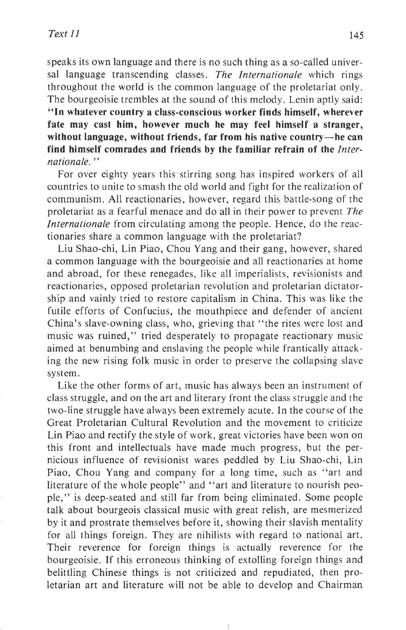speaks its own language and there is no such thing as a so-called universal language transcending classes. The Internationale which rings throughout the world is the common language of the proletariat only. The bourgeoisie trembles at the sound of this melody. Lenin aptly said: "In whatever country a class-conscious worker finds himself, wherever fate may cast him, however much he may feel himself a stranger, without language, without friends, far from his native country-he can find himself comrades and friends by the familiar refrain of the Internationale. "

For over eighty years this stirring song has inspired workers of all countries to unite to smash the old world and fight for the realization of communism. All reactionaries, however, regard this battle-song of the proletariat as a fearful menace and do all in their power to prevent The Internationale from circulating among the people. Hence, do the reactionaries share a common language with the proletariat?

Liu Shao-chi, Lin Piao, Chou Yang and their gang, however, shared a common language with the bourgeoisie and all reactionaries at home and abroad, for these renegades, Iike all imperialists, revisionists and reactionaries, opposed proletarian revolution and proletarian dictatorship and vainly tried to restore capitalism in China. This was like the futile efforts of Confucius, the mouthpiece and defender of ancient China's slave-owning class, who, grieving that "the rites were lost and music was ruined," tried desperately to propagate reactionary music aimed at benumbing and enslaving the people while frantically attacking the new rising folk music in order to preserve the collapsing slave system.

Like the other forms of art, music has always been an instrument of class struggle, and on the art and literary front the class struggle and the two-line struggle have always been extremely acute. In the course of the Great Proletarian Cultural Revolution and the movement to criticize Lin Piao and rectify the style of work, great victories have been won on this front and intellectuals have made much progress, but the pernicious influence of revisionist wares peddled by Liu Shao-chi, Lin Piao, Chou Yang and company for a long time, such as "art and literature of the whole people" and "art and literature to nourish people," is deep-seated and still far from being eliminated. Some people talk about bourgeois classical music with great relish, are mesmerized by it and prostrate themselves before it, showing their slavish mentality for all things foreign. They are nihilists with regard to national art. Their reverence for foreign things is actually reverence for the bourgeoisie. If this erroneous thinking of extolling foreign things and belittling Chinese things is not criticized and repudiated, then proletarian art and literature will not be able to develop and Chairman